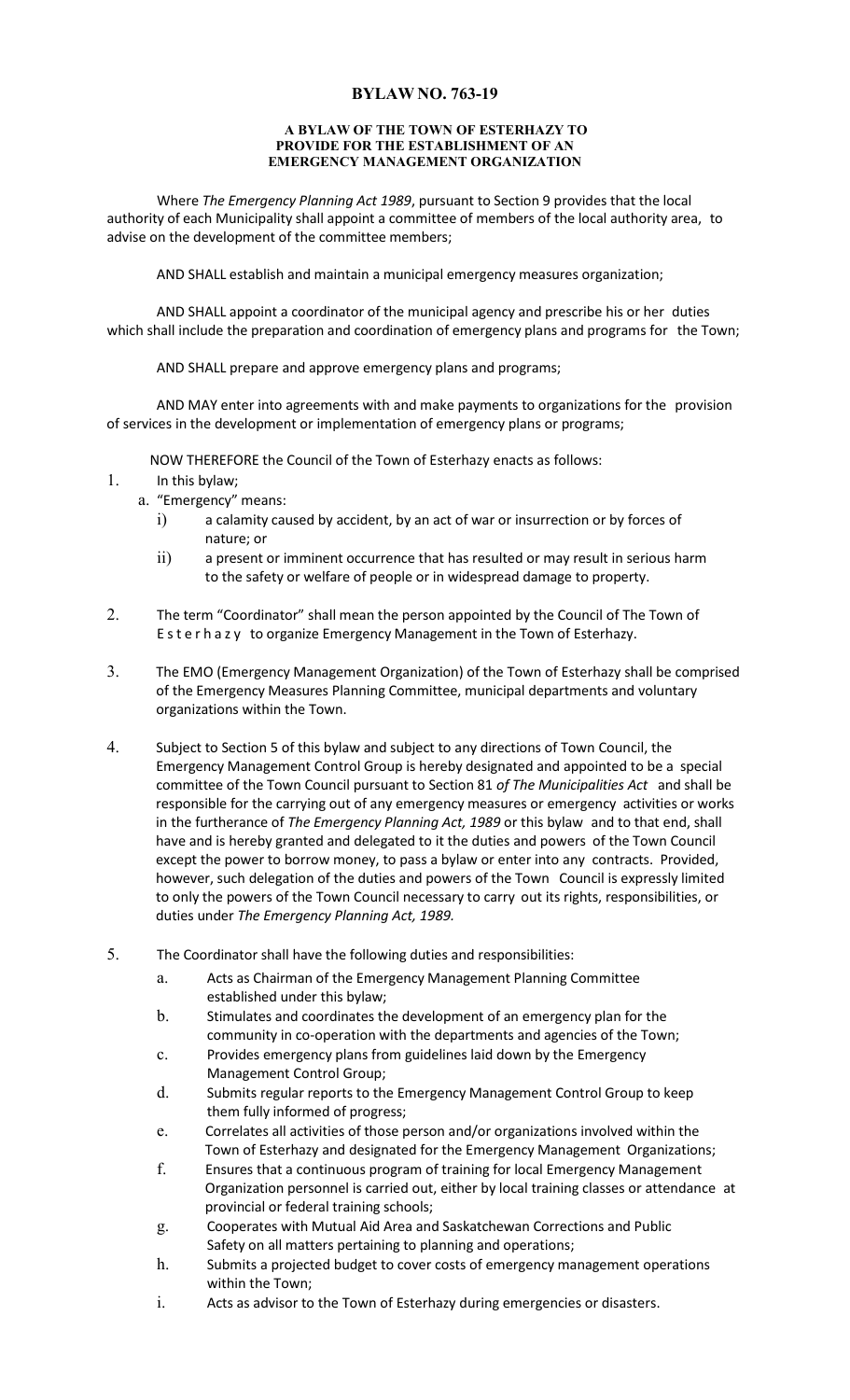## **BYLAW NO. 763-19**

## **A BYLAW OF THE TOWN OF ESTERHAZY TO PROVIDE FOR THE ESTABLISHMENT OF AN EMERGENCY MANAGEMENT ORGANIZATION**

Where *The Emergency Planning Act 1989*, pursuant to Section 9 provides that the local authority of each Municipality shall appoint a committee of members of the local authority area, to advise on the development of the committee members;

AND SHALL establish and maintain a municipal emergency measures organization;

AND SHALL appoint a coordinator of the municipal agency and prescribe his or her duties which shall include the preparation and coordination of emergency plans and programs for the Town;

AND SHALL prepare and approve emergency plans and programs;

AND MAY enter into agreements with and make payments to organizations for the provision of services in the development or implementation of emergency plans or programs;

NOW THEREFORE the Council of the Town of Esterhazy enacts as follows:

- 1. In this bylaw;
	- a. "Emergency" means:
		- i) a calamity caused by accident, by an act of war or insurrection or by forces of nature; or
		- ii) a present or imminent occurrence that has resulted or may result in serious harm to the safety or welfare of people or in widespread damage to property.
- 2. The term "Coordinator" shall mean the person appointed by the Council of The Town of Esterhazy to organize Emergency Management in the Town of Esterhazy.
- 3. The EMO (Emergency Management Organization) of the Town of Esterhazy shall be comprised of the Emergency Measures Planning Committee, municipal departments and voluntary organizations within the Town.
- 4. Subject to Section 5 of this bylaw and subject to any directions of Town Council, the Emergency Management Control Group is hereby designated and appointed to be a special committee of the Town Council pursuant to Section 81 *of The Municipalities Act* and shall be responsible for the carrying out of any emergency measures or emergency activities or works in the furtherance of *The Emergency Planning Act, 1989* or this bylaw and to that end, shall have and is hereby granted and delegated to it the duties and powers of the Town Council except the power to borrow money, to pass a bylaw or enter into any contracts. Provided, however, such delegation of the duties and powers of the Town Council is expressly limited to only the powers of the Town Council necessary to carry out its rights, responsibilities, or duties under *The Emergency Planning Act, 1989.*
- 5. The Coordinator shall have the following duties and responsibilities:
	- a. Acts as Chairman of the Emergency Management Planning Committee established under this bylaw;
	- b. Stimulates and coordinates the development of an emergency plan for the community in co-operation with the departments and agencies of the Town;
	- c. Provides emergency plans from guidelines laid down by the Emergency Management Control Group;
	- d. Submits regular reports to the Emergency Management Control Group to keep them fully informed of progress;
	- e. Correlates all activities of those person and/or organizations involved within the Town of Esterhazy and designated for the Emergency Management Organizations;
	- f. Ensures that a continuous program of training for local Emergency Management Organization personnel is carried out, either by local training classes or attendance at provincial or federal training schools;
	- g. Cooperates with Mutual Aid Area and Saskatchewan Corrections and Public Safety on all matters pertaining to planning and operations;
	- h. Submits a projected budget to cover costs of emergency management operations within the Town;
	- i. Acts as advisor to the Town of Esterhazy during emergencies or disasters.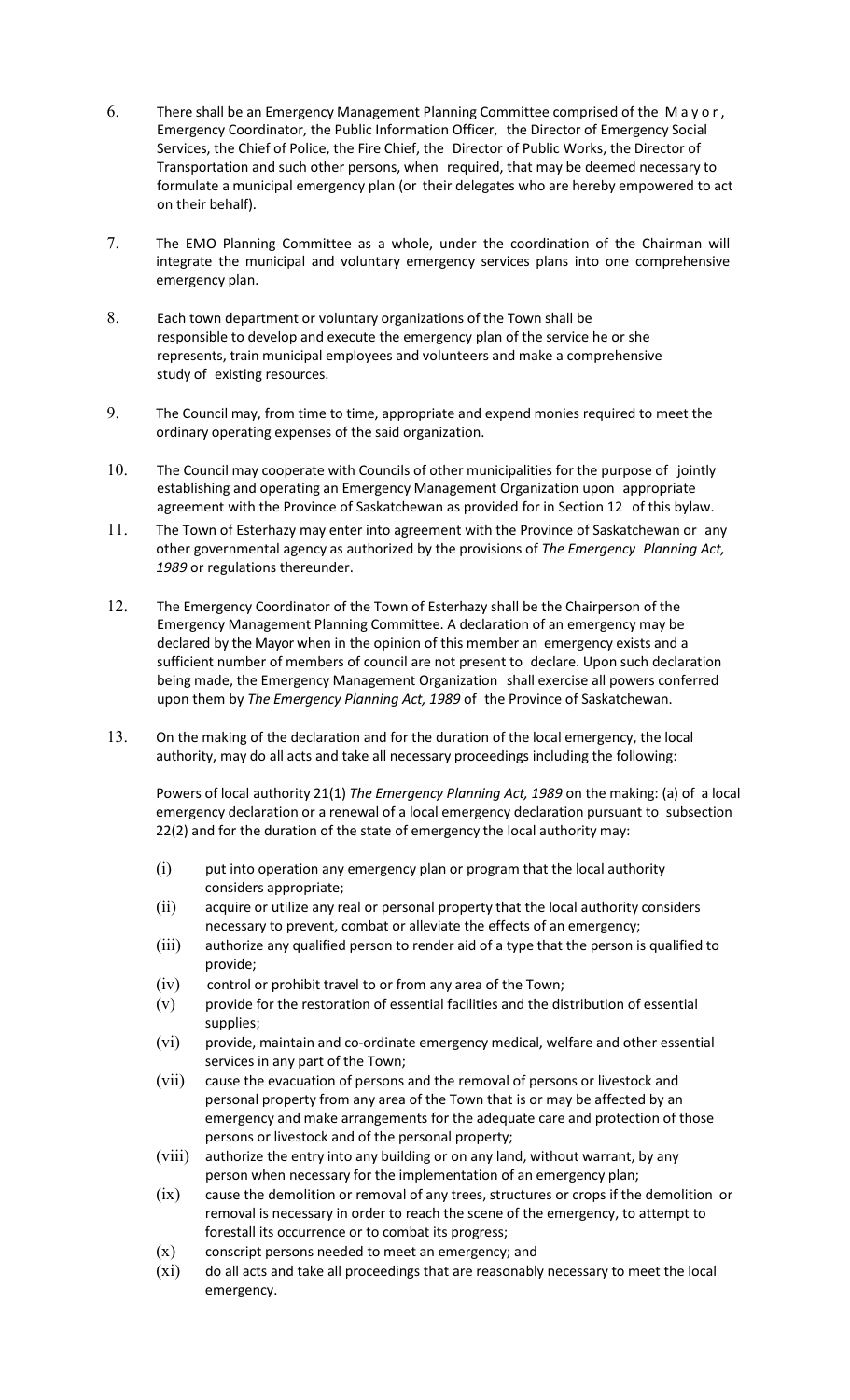- 6. There shall be an Emergency Management Planning Committee comprised of the Mayor, Emergency Coordinator, the Public Information Officer, the Director of Emergency Social Services, the Chief of Police, the Fire Chief, the Director of Public Works, the Director of Transportation and such other persons, when required, that may be deemed necessary to formulate a municipal emergency plan (or their delegates who are hereby empowered to act on their behalf).
- 7. The EMO Planning Committee as a whole, under the coordination of the Chairman will integrate the municipal and voluntary emergency services plans into one comprehensive emergency plan.
- 8. Each town department or voluntary organizations of the Town shall be responsible to develop and execute the emergency plan of the service he or she represents, train municipal employees and volunteers and make a comprehensive study of existing resources.
- 9. The Council may, from time to time, appropriate and expend monies required to meet the ordinary operating expenses of the said organization.
- 10. The Council may cooperate with Councils of other municipalities for the purpose of jointly establishing and operating an Emergency Management Organization upon appropriate agreement with the Province of Saskatchewan as provided for in Section 12 of this bylaw.
- 11. The Town of Esterhazy may enter into agreement with the Province of Saskatchewan or any other governmental agency as authorized by the provisions of *The Emergency Planning Act, 1989* or regulations thereunder.
- 12. The Emergency Coordinator of the Town of Esterhazy shall be the Chairperson of the Emergency Management Planning Committee. A declaration of an emergency may be declared by the Mayor when in the opinion of this member an emergency exists and a sufficient number of members of council are not present to declare. Upon such declaration being made, the Emergency Management Organization shall exercise all powers conferred upon them by *The Emergency Planning Act, 1989* of the Province of Saskatchewan.
- 13. On the making of the declaration and for the duration of the local emergency, the local authority, may do all acts and take all necessary proceedings including the following:

Powers of local authority 21(1) *The Emergency Planning Act, 1989* on the making: (a) of a local emergency declaration or a renewal of a local emergency declaration pursuant to subsection 22(2) and for the duration of the state of emergency the local authority may:

- (i) put into operation any emergency plan or program that the local authority considers appropriate;
- (ii) acquire or utilize any real or personal property that the local authority considers necessary to prevent, combat or alleviate the effects of an emergency;
- (iii) authorize any qualified person to render aid of a type that the person is qualified to provide;
- (iv) control or prohibit travel to or from any area of the Town;
- $(v)$  provide for the restoration of essential facilities and the distribution of essential supplies;
- (vi) provide, maintain and co-ordinate emergency medical, welfare and other essential services in any part of the Town;
- (vii) cause the evacuation of persons and the removal of persons or livestock and personal property from any area of the Town that is or may be affected by an emergency and make arrangements for the adequate care and protection of those persons or livestock and of the personal property;
- (viii) authorize the entry into any building or on any land, without warrant, by any person when necessary for the implementation of an emergency plan;
- (ix) cause the demolition or removal of any trees, structures or crops if the demolition or removal is necessary in order to reach the scene of the emergency, to attempt to forestall its occurrence or to combat its progress;
- $(x)$  conscript persons needed to meet an emergency; and
- (xi) do all acts and take all proceedings that are reasonably necessary to meet the local emergency.